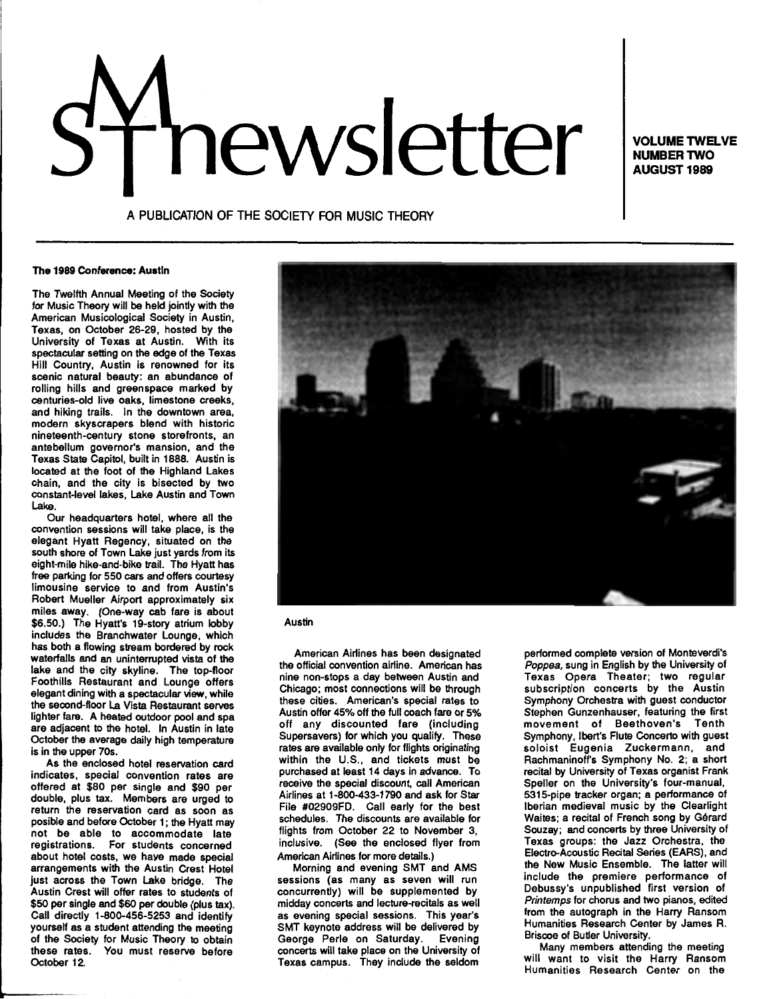# **nouver TWG WORKS ANGLER TWG AUGUST 1989**

**NUMBER TWO AUGUST1989** 

A PUBLICATION OF THE SOCIETY FOR MUSIC THEORY

#### The 1989 Conference: Austin

The Twelfth Annual Meeting of the Society for Music Theory will be held jointly with the American Musicological Society in Austin, Texas, on October 26-29, hosted by the University of Texas at Austin. With its spectacular setting on the edge of the Texas Hill Country, Austin is renowned for its scenic natural beauty: an abundance of rolling hills and greenspace marked by centuries-old live oaks, limestone creeks, and hiking trails. In the downtown area, modern skyscrapers blend with historic nineteenth-century stone storefronts, an antebellum governor's mansion, and the Texas State Capitol, built in 1888. Austin is located at the foot of the Highland Lakes chain, and the city is bisected by two constant-level lakes, Lake Austin and Town Lake.

Our headquarters hotel, where all the convention sessions will take place, is the elegant Hyatt Regency, situated on the south shore of Town Lake just yards from its eight-mile hike-and-bike trail. The Hyatt has free parking for 550 cars and offers courtesy limousine service to and from Austin's Robert Mueller Airport approximately six miles away. (One-way cab fare is about \$6.50.) The Hyatt's 19-story atrium lobby includes the Branchwater Lounge, which has both a flowing stream bordered by rock waterfalls and an uninterrupted vista of the lake and the city skyline. The top-floor Foothills Restaurant and Lounge offers elegant dining with a spectacular view, while the second-floor La Vista Restaurant serves lighter fare. A heated outdoor pool and spa are adjacent to the hotel. In Austin in late October the average daily high temperature is in the upper 70s.

As the enclosed hotel reservation card indicates, special convention rates are offered at \$80 per single and \$90 per double, plus tax. Members are urged to return the reservation card as soon as posible and before October 1; the Hyatt may not be able to accommodate late registrations. For students concerned about hotel costs, we have made special arrangements with the Austin Crest Hotel just across the Town Lake bridge. The Austin Crest will offer rates to students of \$50 per single and \$60 per double (plus tax). Call directly 1-800-456-5253 and identify yourself as a student attending the meeting of the Society for Music Theory to obtain these rates. You must reserve before October 12.



# Austin

American Airlines has been designated the official convention airline. American has nine non-stops a day between Austin and Chicago; most connections will be through these cities. American's special rates to Austin offer 45% off the full coach fare or 5% off any discounted fare (including Supersavers) for which you qualify. These rates are available only for flights originating within the U.S., and tickets must be purchased at least 14 days in advance. To receive the special discount, call American Airlines at 1-800-433-1790 and ask for Star File #02909FD. Call early for the best schedules. The discounts are available for flights from October 22 to November 3, inclusive. (See the enclosed flyer from American Airlines for more details.)

Morning and evening SMT and AMS sessions (as many as seven will run concurrently) will be supplemented by midday concerts and lecture-recitals as well as evening special sessions. This year's SMT keynote address will be delivered by George Perle on Saturday. Evening concerts will take place on the University of Texas campus. They include the seldom performed complete version of Monteverdi's Poppea, sung in English by the University of Texas Opera Theater; two regular subscription concerts by the Austin Symphony Orchestra with guest conductor Stephen Gunzenhauser, featuring the first movement of Beethoven's Tenth Symphony, Ibert's Flute Concerto with guest soloist Eugenia Zuckermann, and Rachmaninoff's Symphony No. 2; a short recital by University of Texas organist Frank Speller on the University's four-manual, 5315-pipe tracker organ; a performance of Iberian medieval music by the Clearlight Waites; a recital of French song by Gérard Souzay; and concerts by three University of Texas groups: the Jazz Orchestra, the Electro-Acoustic Recital Series (EARS), and the New Music Ensemble. The latter will include the premiere performance of Debussy's unpublished first version of Printemps for chorus and two pianos, edited from the autograph in the Harry Ransom Humanities Research Center by James R. Briscoe of Butler University.

Many members attending the meeting will want to visit the Harry Ransom Humanities Research Center on the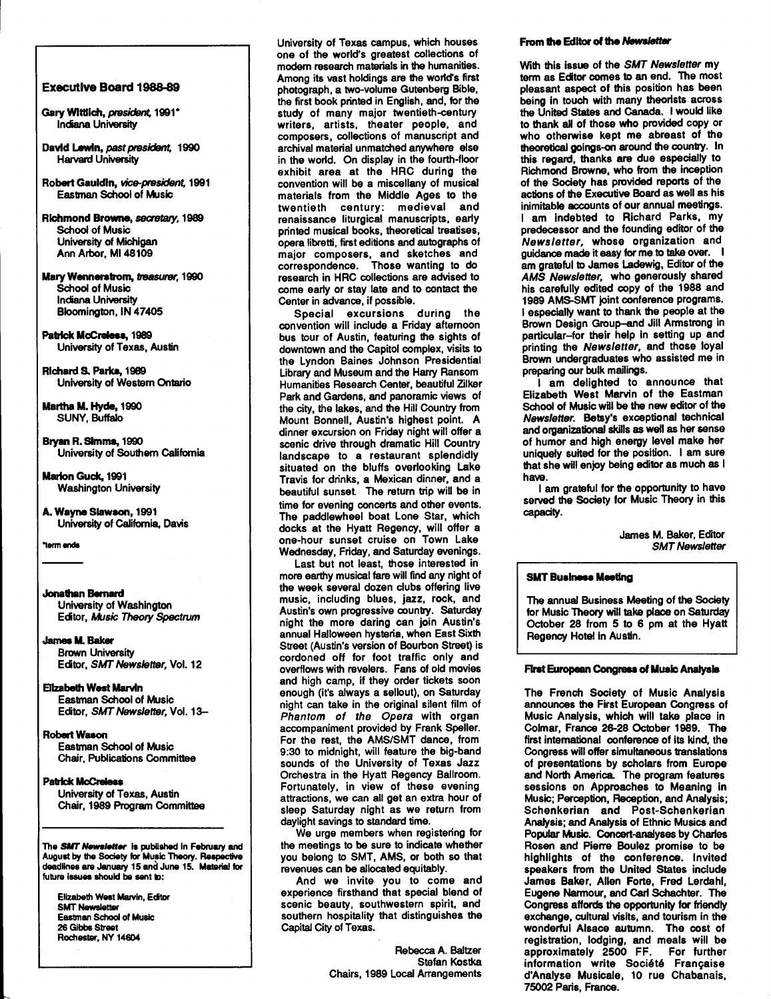#### Executive Board 1988-89

- Gary Wittlich, president, 1991\* lnciana Universily
- David Lewin, past president, 1990 Harvard University
- Robert Gauldin, vice-president, 1991 Eastman School of Music
- Richmond Browne, *secretary,* 1989 School of Music University of Michigan Ann Arbor, Ml48109
- Mary Wennerslrom, treasurer, 1990 School of Music Indiana University Bloomington, IN 47405
- Patrick McCreless, 1989 University of Texas, Austin

Richard S. Parks, 1989 University of Western Ontario

Martha M. Hyde, 1990 SUNY, Buffalo

- Bryan R. Simms, 1990 University of Southern California
- Marlon Guck, 1991 Washington University
- A. Wayne Slawson, 1991 University of California, Davis

"term ends

# Jonathan Bemerd

University of Washington Editor, Music Theory Spectrum

#### Jamea M. Baker

Brown University Editor, SMT Newsletter, Vol. 12

# Blzabelh West Marvin

Eastman School of Music Editor, SMT Newsletter, Vol. 13-

# Robert Wason

Eastman School of Music Chair, Publications Committee

# Patrick McCralea

University of Texas, Austin Chair, 1989 Program Committee

The **SMT Newsletter** is published in February and August by the Society for Music Theory. Reapective deadlines are January 15 and June 15. Material for future issues should be sent to:

Elizabeth West Marvin, Ecitor SMT Newsletter Eastman School of Music 26 Gibbs Street Rochester, NY 14604

University of Texas campus, which houses one of the world's greatest collections of modem research materials in the humanities. Among its vast holdings are the world's first photograph, a two-volume Gutenberg Bible, the first book printed in English, and, for the study of many major twentieth-century writers, artists, theater people, and composers, collections of manuscript and archival material unmatched anywhere else in the world. On display in the fourth-floor exhibit area at the HAC during the convention will be a miscellany of musical materials from the Middle Ages to the twentieth century: medieval and renaissance liturgical manuscripts, early printed musical books, theoretical treatises, opera libretti, first editions and autographs of major composers, and sketches and correspondence. Those wanting to do research in HRC collections are advised to come early or stay late and to contact the Center in advance, if possible.

Special excursions during the convention will include a Friday aftemoon bus tour of Austin, featuring the sights of downtown and the Capitol complex, visits to the Lyndon Baines Johnson Presidential Library and Museum and the Harry Ransom Humanities Research Center, beautiful Zilker Park and Gardens, and panoramic views of the city, the lakes, and the Hill Country from Mount Bonnell, Austin's highest point. A dinner excursion on Friday night will offer a scenic drive through dramatic Hill Country landscape to a restaurant splendidly situated on the bluffs overlooking Lake Travis for drinks, a Mexican dinner, and a beautiful sunset. The return trip will be in time for evening concerts and other events. The paddlewheel boat Lone Star, which docks at the Hyatt Regency, will offer a one-hour sunset cruise on Town Lake Wednesday, Friday, and Saturday evenings.

Last but not least, those interested in more earthy musical fare will find any night of the week several dozen clubs offering live music, including blues, jazz, rock, and Austin's own progressive country. Saturday night the more daring can join Austin's annual Halloween hysteria, when East Sixth Street (Austin's version of Bourbon Street) is cordoned off for foot traffic only and overflows with revelers. Fans of old movies and high camp, if they order tickets soon enough (it's always a sellout), on Saturday night can take in the original silent film of Phantom of the Opera with organ accompaniment provided by Frank Speller. For the rest, the AMS/SMT dance, from 9:30 to midnight, will feature the big-band sounds of the University of Texas Jazz Orchestra in the Hyatt Regency Ballroom. Fortunately, in view of these evening attractions, we can all get an extra hour of sleep Saturday night as we return from daylight savings to standard time.

We urge members when registering for the meetings to be sure to indicate whether you belong to SMT, AMS, or both so that revenues can be allocated equitably.

And we invite you to come and experience firsthand that special blend of scenic beauty, southwestern spirit, and southern hospitality that distinguishes the Capital City of Texas.

> Rebecca A. Baltzer Stefan Kostka Chairs, 1989 Local Arrangements

#### From the Editor of the Newsletter

With this issue of the SMT Newsletter my term as Editor comes to an end. The most pleasant aspect of this position has been being in touch with many theorists across the United States and Canada. I would like to thank all of those who provided copy or who otherwise kept me abreast of the theoretical goings-on around the country. In this regard, thanks are due especially to Richmond Browne, who from the inception of the Society has provided reports of the actions of the Executive Board as well as his inimitable accounts of our annual meetings. I am indebted to Richard Parks, my predecessor and the founding editor of the Newsletter, whose organization and guidance made it easy for me to take over. I am grateful to James Ladewig, Editor of the AMS Newsletter, who generously shared his carefully edited copy of the 1988 and 1989 AMS.SMT joint conference programs. I especially want to thank the people at the Brown Design Group-and Jill Armstrong in particular-for their help in setting up and printing the Newsletter, and those loyal Brown undergraduates who assisted me in preparing our bulk mailings.

I am delighted to announce that Elizabeth West Marvin of the Eastman School of Music will be the new editor of the Newsletter. Betsy's exceptional technical and organizational skills as well as her sense of humor and high energy level make her uniquely suited for the position. I am sure that she will enjoy being editor as much as I have.

I am grateful for the opportunity to have served the Society for Music Theory in this capacity.

> James M. Baker, Editor SMT Newsletter

# **SMT Business Meeting**

The annual Business Meeting of the Society for Music Theory will take place on Saturday October 28 from 5 to 6 pm at the Hyatt Regency Hotel in Austin.

#### First European Congress of Music Analysis

The French Society of Music Analysis announces the First European Congress of Music Analysis, which will take place in Colmar, France 26-28 October 1989. The first international conference of its kind, the Congress will offer simultaneous translations of presentations by scholars from Europe and North America. The program features sessions on Approaches to Meaning in Music; Perception, Reception, and Analysis; Schenkerian and Post-Schenkerian Analysis; and Analysis of Ethnic Musics and Popular Music. Concert-analyses by Charles Rosen and Pierre Boulez promise to be highlights of the conference. Invited speakers from the United States include James Baker, Allen Forte, Fred Lerdahl, Eugene Narmour, and Carl Schachter. The Congress affords the opportunity for friendly exchange, cultural visits, and tourism in the wonderful Alsace autumn. The cost of registration, lodging, and meals will be approximately 2500 FF. For further information write Soci6t6 Franqaise d'Analyse Musicale, 10 rue Chabanais, 75002 Paris, France.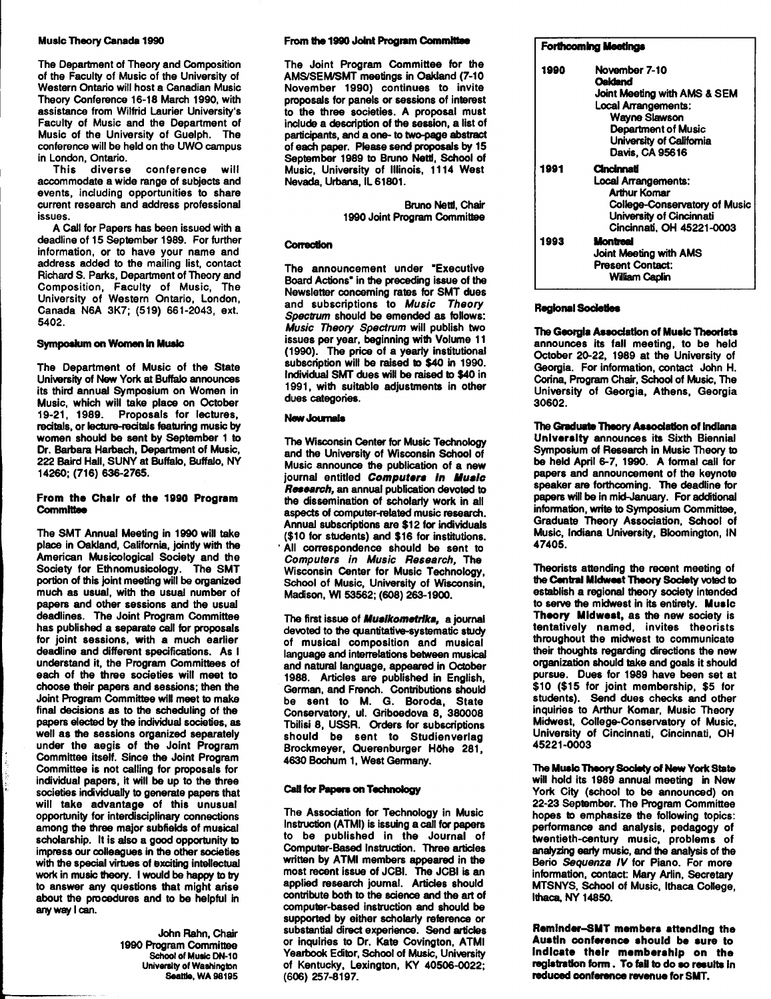# Music Theory Canada 1990

The Department of Theory and Composition of the Faculty of Music of the University of Western Ontario will host a Canadian Music Theory Conference 16-18 March 1990, with assistance from Wilfrid Laurier University's Faculty of Music and the Department of Music of the University of Guelph. The conference will be held on the UWO campus in London, Ontario.

This diverse conference will accommodate a wide range of subjects and events, including opportunities to share current research and address professional issues.

A Call for Papers has been issued with a deadline of 15 September 1989. For further information, or to have your name and address added to the mailing list, contact Richard S. Parks, Department of Theory and Composition, Faculty of Music, The University of Western Ontario, London, Canada N6A 3K7; (519) 661-2043, ext. 5402.

# Symposium on Women In Mualc

The Department of Music of the State University of New York at Buffalo announces its third annual Symposium on Women in Music, which will take place on October 19-21, 1989. Proposals for lectures, recitals, or lecture-recitals featuring music by women should be sent by September 1 to Dr. Barbara Harbach, Department of Music, 222 Baird Hall, SUNY at Buffalo, Buffalo, NY 14260; (716) 636-2765.

#### From the Chair of the 1990 Program **Committee**

The SMT Annual Meeting in 1990 will take place in Oakland, California, joindy with the American Musicological Society and the Society for Ethnomusicology. The SMT portion of this joint meeting will be organized much as usual, with the usual number of papers and other sessions and the usual deadlines. The Joint Program Committee has published a separate call for proposals for joint sessions, with a much earlier deadline and different specifications. As I understand it, the Program Committees of each of the three societies will meet to choose their papers and sessions; then the Joint Program Committee will meet to make final decisions as to the scheduling of the papers elected by the individual societies, as well as the sessions organized separately under the aegis of the Joint Program Committee itself. Since the Joint Program Committee is not calling for proposals for individual papers, it will be up to the three societies individually to generate papers that will take advantage of this unusual opportunity for interdisciplinary connections among the three major subfields of musical scholarship. It is also a good opportunity to impress our colleagues in the other societies with the special virtues of exciting intellectual work in music theory. I would be happy to try to answer any questions that might arise about the procedures and to be helpful in any way I can.

> John Rahn, Chair 1990 Program Committee School of Music DN-10 University of Washington Seattle, WA 98195

#### From the 1990 Joint Program Committee

The Joint Program Committee for the AMS/SEMISMT meetings in Oakland (7-10 November 1990) continues to invite proposals for panels or sessions of interest to the three societies. A proposal must include a description of the session, a list of participants, and a one- to two-page abstract of each paper. Please send proposals by 15 September 1989 to Bruno Netd, School of Music, University of Illinois, 1114 West Nevada, Urbana, IL 61801.

> Bruno Netd, Chair 1990 Joint Program Committee

# Correction

The announcement under "Executive Board Actions" in the preceding issue of the Newsletter concerning rates for SMT dues and subscriptions to Music Theory Spectrum should be emended as follows: Music Theory Spectrum will publish two issues per year, beginning with Volume 11 (1990). The price of a yearly institutional subscription will be raised to \$40 in 1990. Individual SMT dues will be raised to \$40 in 1991, with suitable adjustments in other dues categories.

# **New Journals**

The Wisconsin Center for Music Technology and the University of Wisconsin School of Music announce the publication of a new journal entitled Computers in Music **Research, an annual publication devoted to** the dissemination of scholarly work in all aspects of computer-related music research. Annual subscriptions are \$12 for individuals (\$10 for students) and \$16 for institutions. All correspondence should be sent to Computers in Music Research, The Wisconsin Center for Music Technology, School of Music, University of Wisconsin, Madison, Wl53562; (608) 263-1900.

The first issue of *Musikometrika*, a journal devoted to the quantitative-systematic study of musical composition and musical language and interrelations between musical and natural language, appeared in October 1988. Articles are published in English, German, and French. Contributions should be sent to M. G. Boroda, State Conservatory, ul. Griboedova 8, 380008 Tbilisi 8, USSR. Orders for subscriptions should be sent to Studienverlag Brockmeyer, Querenburger Höhe 281, 4630 Bochum 1, West Germany.

# Call for Papers on Technology

The Association for Technology in Music Instruction (ATMI) is issuing a call for papers to be published in the Journal of Computer-Based Instruction. Three articles written by ATMI members appeared in the most recent issue of JCBI. The JCBI is an applied research journal. Articles should contribute both to the science and the art of computer-based instruction and should be supported by either scholarly reference or substantial direct experience. Send articles or inquiries to Dr. Kate Covington, ATMI Yearbook Edtor, School of Music, University of Kentucky, Lexington, KY 40506-0022; (606) 257-8197.

# Forthcoming Meetings

| 1990 | November 7-10<br>Oakland      |
|------|-------------------------------|
|      | Joint Meeting with AMS & SEM  |
|      | Local Arrangements:           |
|      | <b>Wayne Slawson</b>          |
|      | <b>Department of Music</b>    |
|      | University of California      |
|      | Davis, CA 95616               |
| 1991 | <b>Cincinnati</b>             |
|      | <b>Local Arrangements:</b>    |
|      | <b>Arthur Komar</b>           |
|      | College-Conservatory of Music |
|      | University of Cincinnati      |
|      | Cincinnati. OH 45221-0003     |
| 1993 | Montreal                      |
|      | <b>Joint Meeting with AMS</b> |
|      | <b>Present Contact:</b>       |
|      | William Caplin                |

#### Regional Sodelles

The Georgia Asaoclatlon of Music Theorists announces its fall meeting, to be held October 20-22, 1989 at the University of Georgia. For information, contact John H. Corina, Program Chair, School of Music, The University of Georgia, Athens, Georgia 30602.

The Graduate Theory Association of Indiana University announces its Sixth Biennial Symposium of Research in Music Theory to be held April 6-7, 1990. A formal call for papers and announcement of the keynote speaker are forthcoming. The deadline for papers will be in mid-January. For additional information, write to Symposium Committee, Graduate Theory Association, School of Music, Indiana University, Bloomington, IN 47405.

Theorists attending the recent meeting of the Central Midwest Theory Society voted to establish a regional theory society intended to serve the midwest in its entirety. Music Theory Midwest, as the new society is tentatively named, invites theorists throughout the midwest to communicate their thoughts regarding directions the new organization should take and goals it should pursue. Dues for 1989 have been set at \$10 (\$15 for joint membership, \$5 for students). Send dues checks and other inquiries to Arthur Komar, Music Theory Midwest, College-Conservatory of Music, University of Cincinnati, Cincinnati, OH 45221-0003

The Music Theory Society of New York State will hold its 1989 annual meeting in New York City (school to be announced) on 22-23 September. The Program Committee hopes to emphasize the following topics: performance and analysis, pedagogy of twentieth-century music, problems of analyzing early music, and the analysis of the Berio Sequenza IV for Piano. For more information, contact: Mary Arlin, Secretary MTSNYS, School of Music, Ithaca College, Ithaca, NY 14850.

Remlnder-8MT members attending the Austin conference should be sure to Indicate their membership on the registration form. To fail to do so results in reduced conference revenue for SMT.